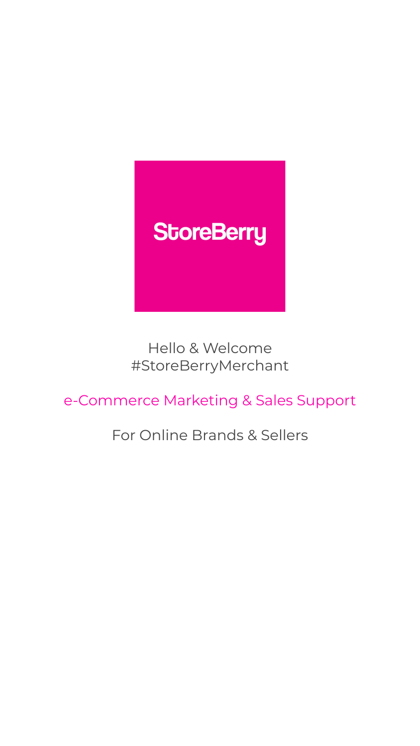

### Hello & Welcome #StoreBerryMerchant

e-Commerce Marketing & Sales Support

For Online Brands & Sellers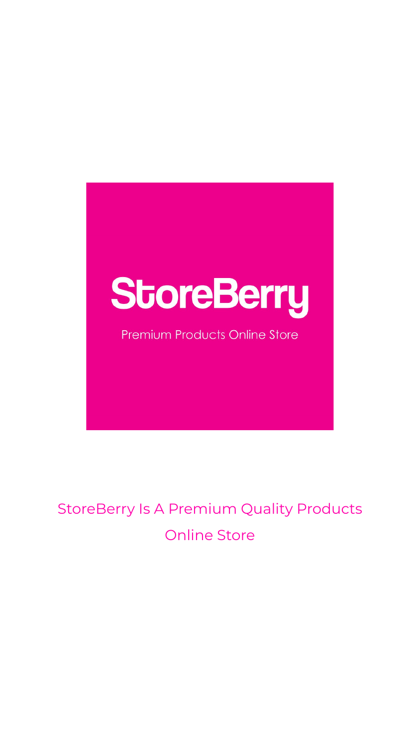# StoreBerry

**Premium Products Online Store** 

### StoreBerry Is A Premium Quality Products Online Store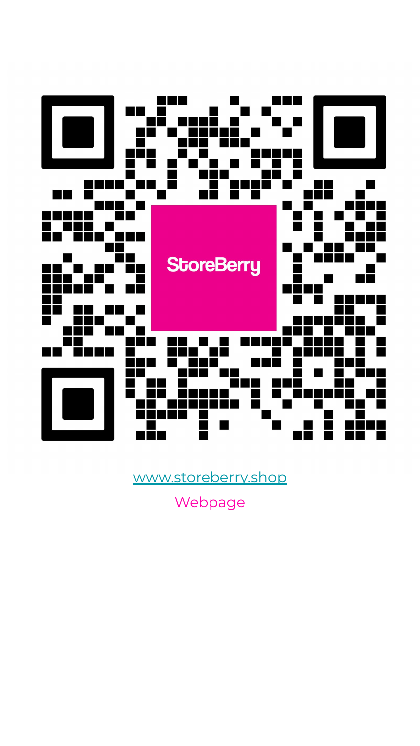Webpage



[www.storeberry.shop](http://www.storeberry.shop)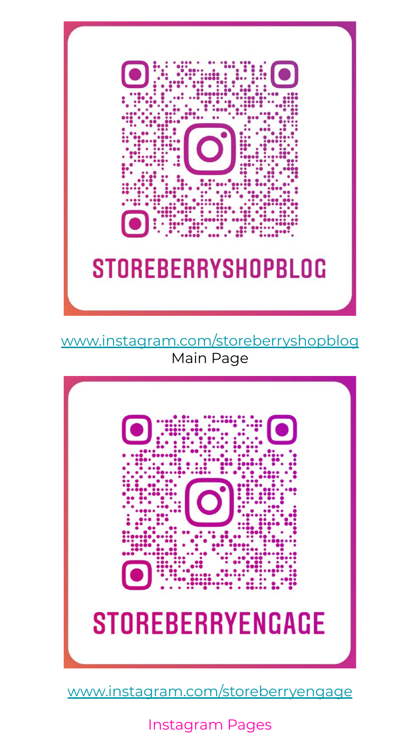Instagram Pages



[www.instagram.com/storeberryshopblog](http://www.instagram.com/storeberryshopblog) Main Page



[www.instagram.com/storeberryengage](http://www.instagram.com/storeberryengage)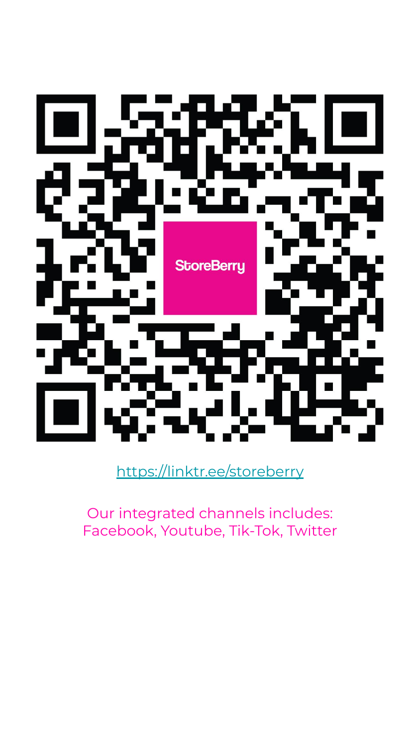Our integrated channels includes: Facebook, Youtube, Tik-Tok, Twitter

# **StoreBerry**

<https://linktr.ee/storeberry>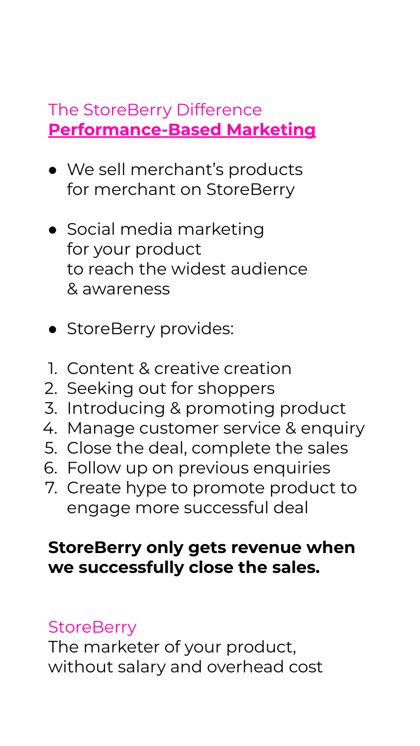### The StoreBerry Difference **Performance-Based Marketing**

- We sell merchant's products for merchant on StoreBerry
- Social media marketing for your product to reach the widest audience & awareness
- StoreBerry provides:
- 1. Content & creative creation
- 2. Seeking out for shoppers
- 3. Introducing & promoting product
- 4. Manage customer service & enquiry
- 5. Close the deal, complete the sales
- 6. Follow up on previous enquiries
- 7. Create hype to promote product to engage more successful deal

### **StoreBerry only gets revenue when we successfully close the sales.**

### **StoreBerry**

The marketer of your product, without salary and overhead cost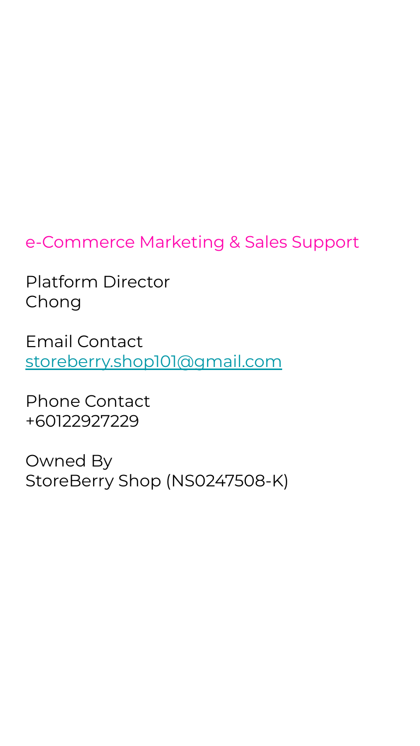### e-Commerce Marketing & Sales Support

Platform Director Chong

Email Contact [storeberry.shop101@gmail.com](mailto:storeberry.shop101@gmail.com)

Phone Contact +60122927229

Owned By

## StoreBerry Shop (NS0247508-K)

- 
- 
- -
	-
	-